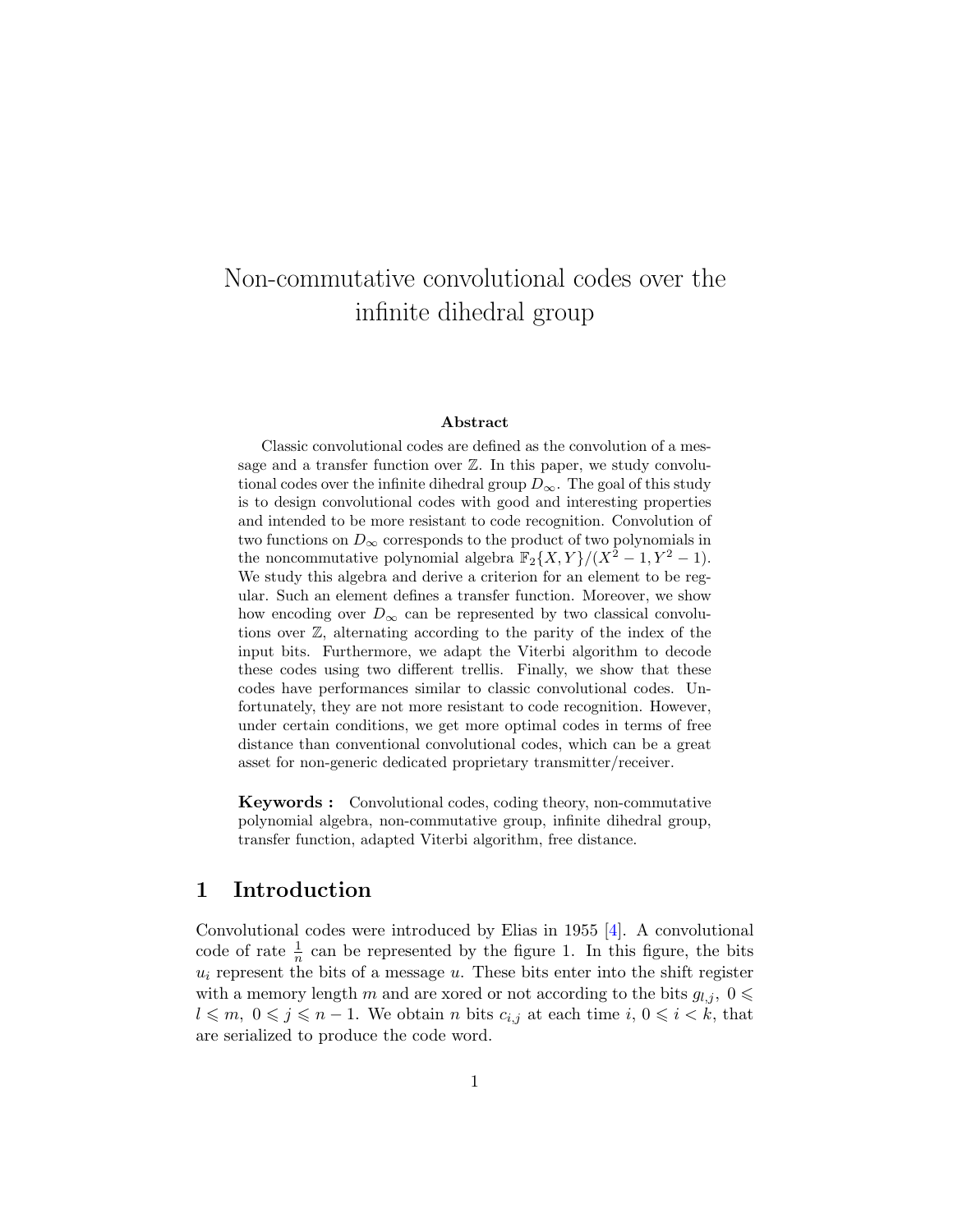# Non-commutative convolutional codes over the infinite dihedral group

#### Abstract

Classic convolutional codes are defined as the convolution of a message and a transfer function over  $\mathbb{Z}$ . In this paper, we study convolutional codes over the infinite dihedral group  $D_{\infty}$ . The goal of this study is to design convolutional codes with good and interesting properties and intended to be more resistant to code recognition. Convolution of two functions on  $D_{\infty}$  corresponds to the product of two polynomials in the noncommutative polynomial algebra  $\mathbb{F}_2\{X,Y\}/(X^2-1,Y^2-1)$ . We study this algebra and derive a criterion for an element to be regular. Such an element defines a transfer function. Moreover, we show how encoding over  $D_{\infty}$  can be represented by two classical convolutions over Z, alternating according to the parity of the index of the input bits. Furthermore, we adapt the Viterbi algorithm to decode these codes using two different trellis. Finally, we show that these codes have performances similar to classic convolutional codes. Unfortunately, they are not more resistant to code recognition. However, under certain conditions, we get more optimal codes in terms of free distance than conventional convolutional codes, which can be a great asset for non-generic dedicated proprietary transmitter/receiver.

Keywords : Convolutional codes, coding theory, non-commutative polynomial algebra, non-commutative group, infinite dihedral group, transfer function, adapted Viterbi algorithm, free distance.

#### 1 Introduction

Convolutional codes were introduced by Elias in 1955 [\[4\]](#page-14-0). A convolutional code of rate  $\frac{1}{n}$  can be represented by the figure [1.](#page-1-0) In this figure, the bits  $u_i$  represent the bits of a message  $u$ . These bits enter into the shift register with a memory length m and are xored or not according to the bits  $g_{l,j}$ ,  $0 \leq$  $l \leqslant m, 0 \leqslant j \leqslant n - 1$ . We obtain n bits  $c_{i,j}$  at each time  $i, 0 \leqslant i < k$ , that are serialized to produce the code word.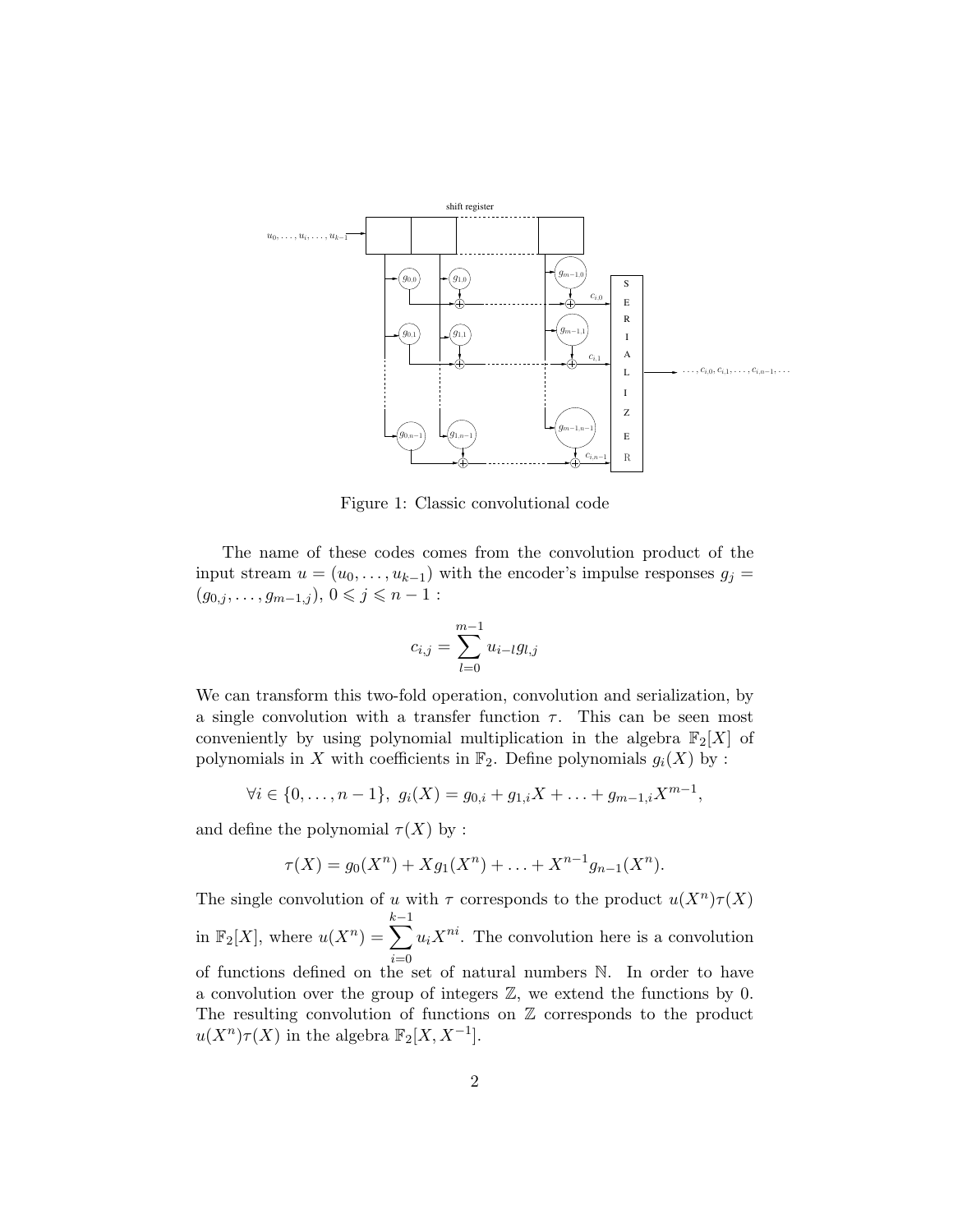

<span id="page-1-0"></span>Figure 1: Classic convolutional code

The name of these codes comes from the convolution product of the input stream  $u = (u_0, \ldots, u_{k-1})$  with the encoder's impulse responses  $g_j =$  $(g_{0,j}, \ldots, g_{m-1,j}), 0 \leqslant j \leqslant n-1:$ 

$$
c_{i,j} = \sum_{l=0}^{m-1} u_{i-l} g_{l,j}
$$

We can transform this two-fold operation, convolution and serialization, by a single convolution with a transfer function  $\tau$ . This can be seen most conveniently by using polynomial multiplication in the algebra  $\mathbb{F}_2[X]$  of polynomials in X with coefficients in  $\mathbb{F}_2$ . Define polynomials  $g_i(X)$  by :

$$
\forall i \in \{0, \ldots, n-1\}, \ g_i(X) = g_{0,i} + g_{1,i}X + \ldots + g_{m-1,i}X^{m-1},
$$

and define the polynomial  $\tau(X)$  by :

$$
\tau(X) = g_0(X^n) + Xg_1(X^n) + \ldots + X^{n-1}g_{n-1}(X^n).
$$

The single convolution of u with  $\tau$  corresponds to the product  $u(X^n)\tau(X)$ in  $\mathbb{F}_2[X]$ , where  $u(X^n) = \sum$  $k-1$  $i=0$  $u_iX^{ni}$ . The convolution here is a convolution of functions defined on the set of natural numbers N. In order to have a convolution over the group of integers Z, we extend the functions by 0. The resulting convolution of functions on  $\mathbb Z$  corresponds to the product  $u(X^n)\tau(X)$  in the algebra  $\mathbb{F}_2[X, X^{-1}].$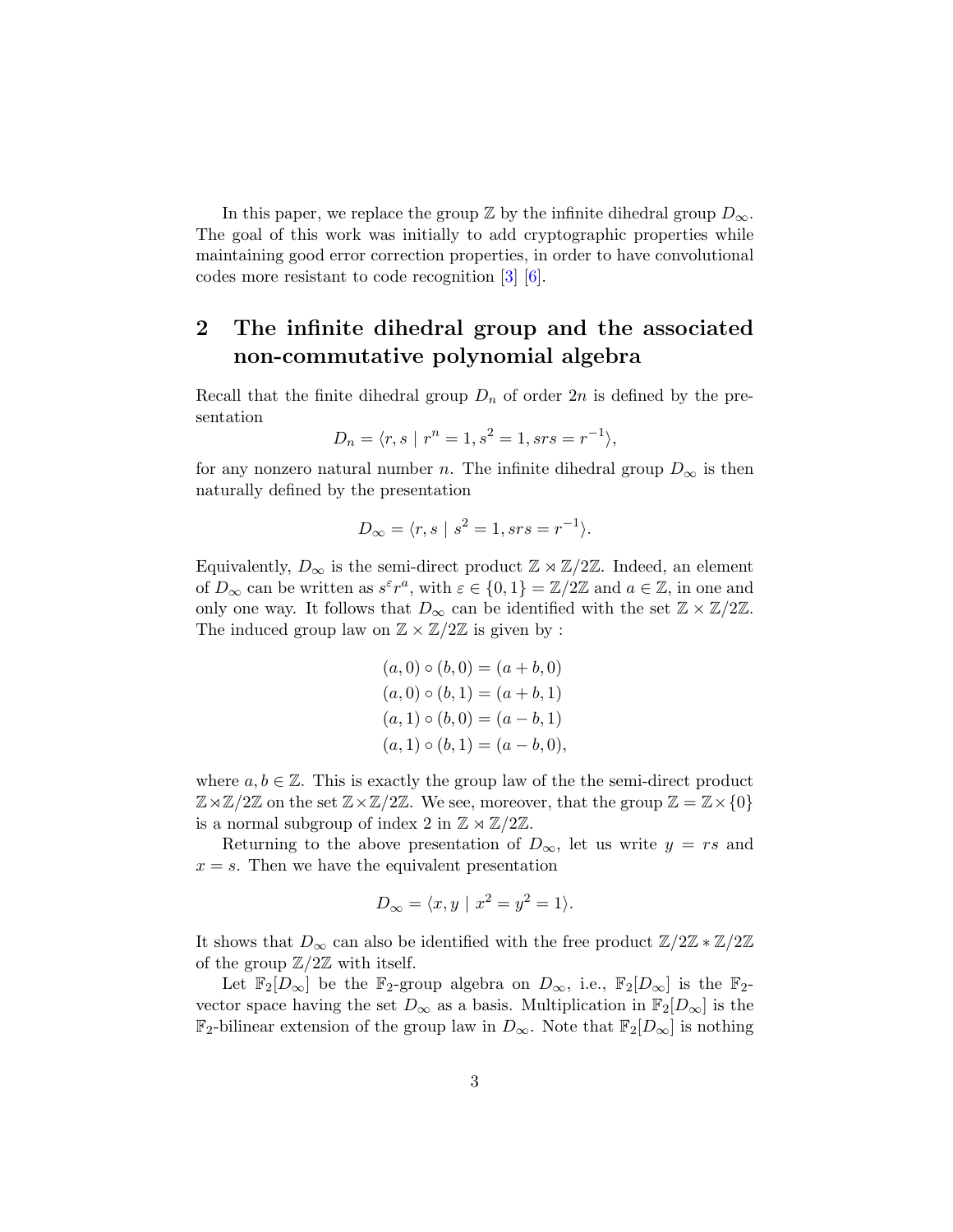In this paper, we replace the group  $\mathbb Z$  by the infinite dihedral group  $D_{\infty}$ . The goal of this work was initially to add cryptographic properties while maintaining good error correction properties, in order to have convolutional codes more resistant to code recognition [\[3\]](#page-14-1) [\[6\]](#page-14-2).

## 2 The infinite dihedral group and the associated non-commutative polynomial algebra

Recall that the finite dihedral group  $D_n$  of order 2n is defined by the presentation

$$
D_n = \langle r, s \mid r^n = 1, s^2 = 1, srs = r^{-1} \rangle,
$$

for any nonzero natural number n. The infinite dihedral group  $D_{\infty}$  is then naturally defined by the presentation

$$
D_{\infty} = \langle r, s \mid s^2 = 1, srs = r^{-1} \rangle.
$$

Equivalently,  $D_{\infty}$  is the semi-direct product  $\mathbb{Z} \rtimes \mathbb{Z}/2\mathbb{Z}$ . Indeed, an element of  $D_{\infty}$  can be written as  $s^{\varepsilon}r^a$ , with  $\varepsilon \in \{0,1\} = \mathbb{Z}/2\mathbb{Z}$  and  $a \in \mathbb{Z}$ , in one and only one way. It follows that  $D_{\infty}$  can be identified with the set  $\mathbb{Z} \times \mathbb{Z}/2\mathbb{Z}$ . The induced group law on  $\mathbb{Z} \times \mathbb{Z}/2\mathbb{Z}$  is given by :

$$
(a, 0) \circ (b, 0) = (a + b, 0)
$$
  
\n
$$
(a, 0) \circ (b, 1) = (a + b, 1)
$$
  
\n
$$
(a, 1) \circ (b, 0) = (a - b, 1)
$$
  
\n
$$
(a, 1) \circ (b, 1) = (a - b, 0),
$$

where  $a, b \in \mathbb{Z}$ . This is exactly the group law of the the semi-direct product  $\mathbb{Z}\rtimes\mathbb{Z}/2\mathbb{Z}$  on the set  $\mathbb{Z}\times\mathbb{Z}/2\mathbb{Z}$ . We see, moreover, that the group  $\mathbb{Z}=\mathbb{Z}\times\{0\}$ is a normal subgroup of index 2 in  $\mathbb{Z} \rtimes \mathbb{Z}/2\mathbb{Z}$ .

Returning to the above presentation of  $D_{\infty}$ , let us write  $y = rs$  and  $x = s$ . Then we have the equivalent presentation

$$
D_{\infty} = \langle x, y \mid x^2 = y^2 = 1 \rangle.
$$

It shows that  $D_{\infty}$  can also be identified with the free product  $\mathbb{Z}/2\mathbb{Z} \times \mathbb{Z}/2\mathbb{Z}$ of the group  $\mathbb{Z}/2\mathbb{Z}$  with itself.

Let  $\mathbb{F}_2[D_\infty]$  be the  $\mathbb{F}_2$ -group algebra on  $D_\infty$ , i.e.,  $\mathbb{F}_2[D_\infty]$  is the  $\mathbb{F}_2$ vector space having the set  $D_{\infty}$  as a basis. Multiplication in  $\mathbb{F}_2[D_{\infty}]$  is the  $\mathbb{F}_2$ -bilinear extension of the group law in  $D_{\infty}$ . Note that  $\mathbb{F}_2[D_{\infty}]$  is nothing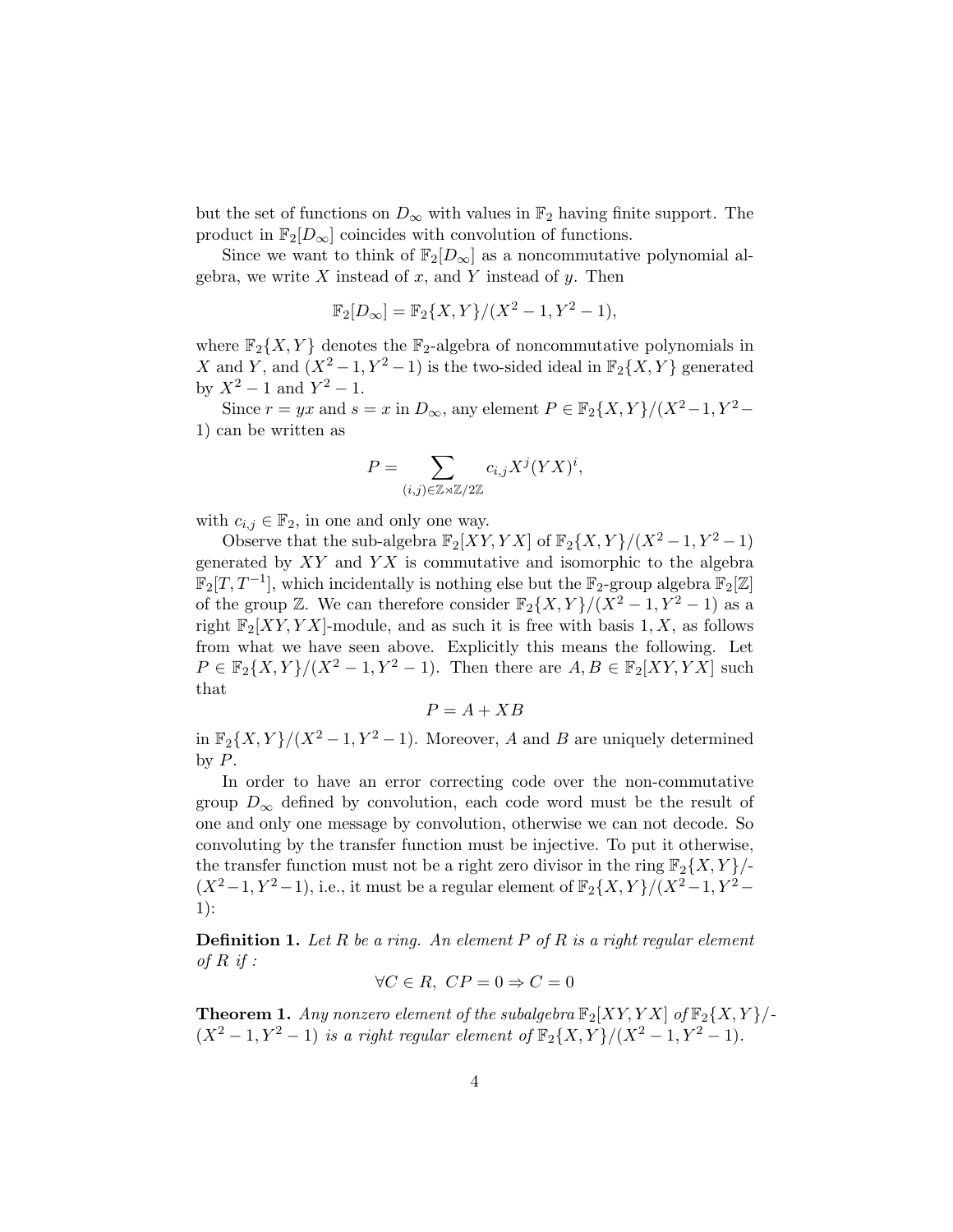but the set of functions on  $D_{\infty}$  with values in  $\mathbb{F}_2$  having finite support. The product in  $\mathbb{F}_2[D_\infty]$  coincides with convolution of functions.

Since we want to think of  $\mathbb{F}_2[D_\infty]$  as a noncommutative polynomial algebra, we write  $X$  instead of  $x$ , and  $Y$  instead of  $y$ . Then

$$
\mathbb{F}_2[D_\infty] = \mathbb{F}_2\{X, Y\} / (X^2 - 1, Y^2 - 1),
$$

where  $\mathbb{F}_2\{X, Y\}$  denotes the  $\mathbb{F}_2$ -algebra of noncommutative polynomials in X and Y, and  $(X^2-1, Y^2-1)$  is the two-sided ideal in  $\mathbb{F}_2\{X, Y\}$  generated by  $X^2 - 1$  and  $Y^2 - 1$ .

Since  $r = yx$  and  $s = x$  in  $D_{\infty}$ , any element  $P \in \mathbb{F}_2\{X, Y\}/(X^2-1, Y^2-1)$ 1) can be written as

$$
P = \sum_{(i,j) \in \mathbb{Z} \rtimes \mathbb{Z}/2\mathbb{Z}} c_{i,j} X^j (YX)^i,
$$

with  $c_{i,j} \in \mathbb{F}_2$ , in one and only one way.

Observe that the sub-algebra  $\mathbb{F}_2[XY, YX]$  of  $\mathbb{F}_2\{X, Y\}/(X^2-1, Y^2-1)$ generated by  $XY$  and  $YX$  is commutative and isomorphic to the algebra  $\mathbb{F}_2[T, T^{-1}]$ , which incidentally is nothing else but the  $\mathbb{F}_2$ -group algebra  $\mathbb{F}_2[\mathbb{Z}]$ of the group  $\mathbb{Z}$ . We can therefore consider  $\mathbb{F}_2\{X,Y\}/(X^2-1,Y^2-1)$  as a right  $\mathbb{F}_2[XY, YX]$ -module, and as such it is free with basis 1, X, as follows from what we have seen above. Explicitly this means the following. Let  $P \in \mathbb{F}_2\{X, Y\}/(X^2-1, Y^2-1)$ . Then there are  $A, B \in \mathbb{F}_2[XY, YX]$  such that

$$
P = A + XB
$$

in  $\mathbb{F}_2\{X, Y\}/(X^2-1, Y^2-1)$ . Moreover, A and B are uniquely determined by  $P$ .

In order to have an error correcting code over the non-commutative group  $D_{\infty}$  defined by convolution, each code word must be the result of one and only one message by convolution, otherwise we can not decode. So convoluting by the transfer function must be injective. To put it otherwise, the transfer function must not be a right zero divisor in the ring  $\mathbb{F}_2\{X, Y\}$ .  $(X^2-1, Y^2-1)$ , i.e., it must be a regular element of  $\mathbb{F}_2\{X, Y\}/(X^2-1, Y^2-1)$ 1):

**Definition 1.** Let R be a ring. An element P of R is a right regular element of  $R$  if :

$$
\forall C \in R, \ CP = 0 \Rightarrow C = 0
$$

**Theorem 1.** Any nonzero element of the subalgebra  $\mathbb{F}_2[XY, YX]$  of  $\mathbb{F}_2\{X, Y\}$ .  $(X^2 - 1, Y^2 - 1)$  is a right regular element of  $\mathbb{F}_2\{X, Y\}/(X^2 - 1, Y^2 - 1)$ .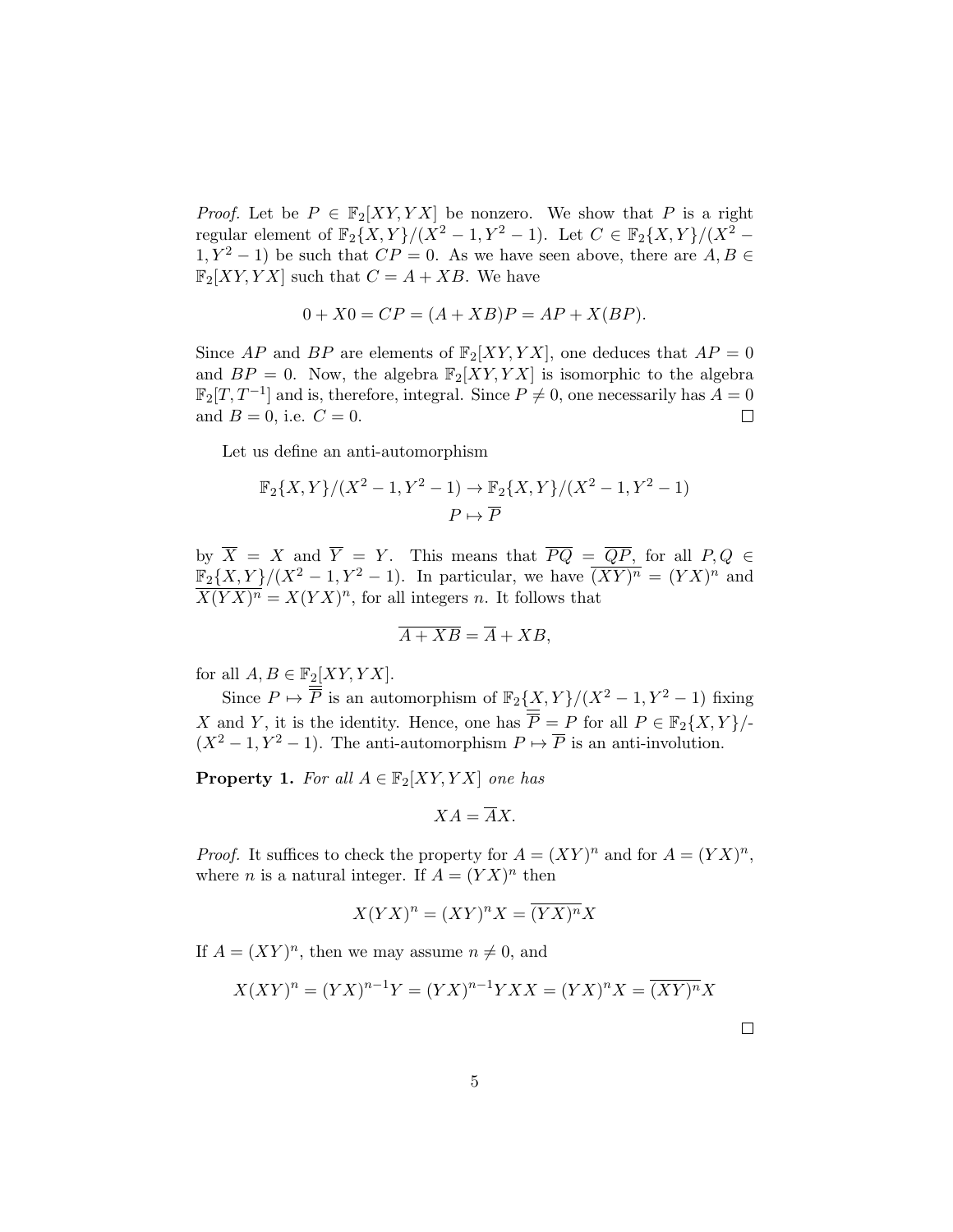*Proof.* Let be  $P \in \mathbb{F}_2[XY, YX]$  be nonzero. We show that P is a right regular element of  $\mathbb{F}_2\{X,Y\}/(X^2-1,Y^2-1)$ . Let  $C \in \mathbb{F}_2\{X,Y\}/(X^2-1)$  $1, Y^2 - 1$ ) be such that  $CP = 0$ . As we have seen above, there are  $A, B \in$  $\mathbb{F}_2[XY, YX]$  such that  $C = A + XB$ . We have

$$
0 + X0 = CP = (A + XB)P = AP + X(BP).
$$

Since AP and BP are elements of  $\mathbb{F}_2[XY, YX]$ , one deduces that  $AP = 0$ and  $BP = 0$ . Now, the algebra  $\mathbb{F}_2[XY, YX]$  is isomorphic to the algebra  $\mathbb{F}_2[T, T^{-1}]$  and is, therefore, integral. Since  $P \neq 0$ , one necessarily has  $A = 0$ and  $B = 0$ , i.e.  $C = 0$ .  $\Box$ 

Let us define an anti-automorphism

$$
\mathbb{F}_2\{X,Y\}/(X^2-1,Y^2-1) \to \mathbb{F}_2\{X,Y\}/(X^2-1,Y^2-1)
$$
  

$$
P \mapsto \overline{P}
$$

by  $\overline{X} = X$  and  $\overline{Y} = Y$ . This means that  $\overline{PQ} = \overline{QP}$ , for all  $P,Q \in$  $\mathbb{F}_2\{X,Y\}/(X^2-1,Y^2-1)$ . In particular, we have  $\overline{(XY)^n} = (YX)^n$  and  $\overline{X(YX)^n} = X(YX)^n$ , for all integers n. It follows that

$$
\overline{A+XB} = \overline{A} + XB,
$$

for all  $A, B \in \mathbb{F}_2[XY, YX]$ .

Since  $P \mapsto \overline{\overline{P}}$  is an automorphism of  $\mathbb{F}_2\{X, Y\}/(X^2-1, Y^2-1)$  fixing X and Y, it is the identity. Hence, one has  $\overline{\overline{P}} = P$  for all  $P \in \mathbb{F}_2\{X, Y\}$ /- $(X^2 - 1, Y^2 - 1)$ . The anti-automorphism  $P \mapsto \overline{P}$  is an anti-involution.

<span id="page-4-0"></span>**Property 1.** For all  $A \in \mathbb{F}_2[XY, YX]$  one has

$$
XA=\overline{A}X.
$$

*Proof.* It suffices to check the property for  $A = (XY)^n$  and for  $A = (YX)^n$ , where *n* is a natural integer. If  $A = (YX)^n$  then

$$
X(YX)^n = (XY)^n X = \overline{(YX)^n} X
$$

If  $A = (XY)^n$ , then we may assume  $n \neq 0$ , and

$$
X(XY)^n = (YX)^{n-1}Y = (YX)^{n-1}YXX = (YX)^nX = \overline{(XY)^n}X
$$

 $\Box$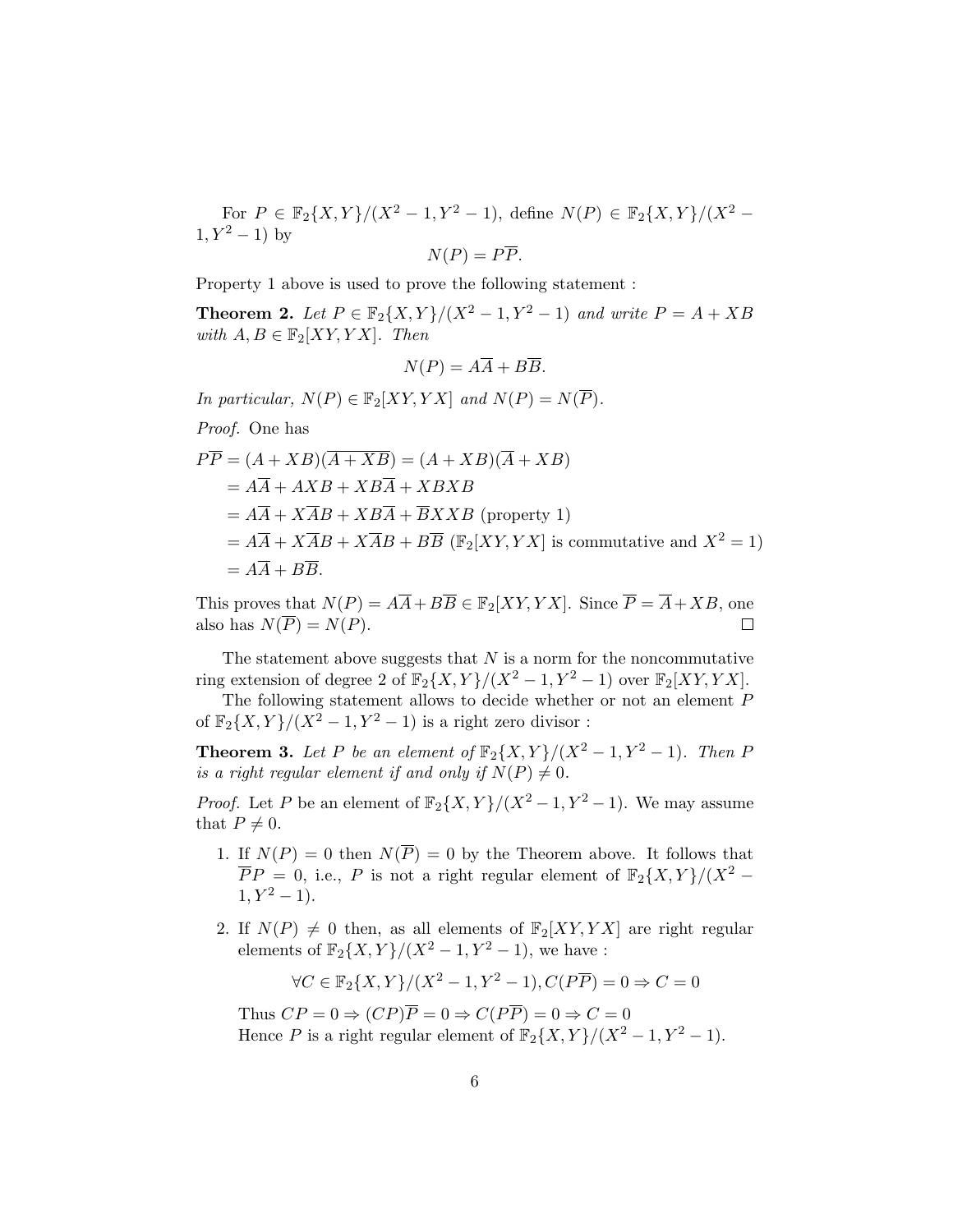For  $P \in \mathbb{F}_2\{X, Y\}/(X^2-1, Y^2-1)$ , define  $N(P) \in \mathbb{F}_2\{X, Y\}/(X^2-1)$  $1, Y^2 - 1$ ) by

$$
N(P) = P\overline{P}.
$$

Property [1](#page-4-0) above is used to prove the following statement :

**Theorem 2.** Let  $P \in \mathbb{F}_2\{X, Y\}/(X^2-1, Y^2-1)$  and write  $P = A + XB$ with  $A, B \in \mathbb{F}_2[XY, YX]$ . Then

$$
N(P) = A\overline{A} + B\overline{B}.
$$

In particular,  $N(P) \in \mathbb{F}_2[XY, YX]$  and  $N(P) = N(\overline{P})$ .

Proof. One has

$$
PP = (A + XB)(A + XB) = (A + XB)(A + XB)
$$
  
=  $A\overline{A} + AXB + XB\overline{A} + XBXB$   
=  $A\overline{A} + X\overline{A}B + XB\overline{A} + \overline{B}XXB$  (property 1)  
=  $A\overline{A} + X\overline{A}B + X\overline{A}B + B\overline{B}$  ( $\mathbb{F}_2[XY, YX]$  is commutative and  $X^2 = 1$ )  
=  $A\overline{A} + B\overline{B}$ .

This proves that  $N(P) = A\overline{A} + B\overline{B} \in \mathbb{F}_2[XY, YX]$ . Since  $\overline{P} = \overline{A} + XB$ , one also has  $N(\overline{P}) = N(P)$ .  $\Box$ 

The statement above suggests that  $N$  is a norm for the noncommutative ring extension of degree 2 of  $\mathbb{F}_2\{X,Y\}/(X^2-1,Y^2-1)$  over  $\mathbb{F}_2[XY,YX]$ .

The following statement allows to decide whether or not an element P of  $\mathbb{F}_2\{X,Y\}/(X^2-1,Y^2-1)$  is a right zero divisor :

**Theorem 3.** Let P be an element of  $\mathbb{F}_2\{X,Y\}/(X^2-1,Y^2-1)$ . Then P is a right regular element if and only if  $N(P) \neq 0$ .

*Proof.* Let P be an element of  $\mathbb{F}_2\{X, Y\}/(X^2-1, Y^2-1)$ . We may assume that  $P \neq 0$ .

- 1. If  $N(P) = 0$  then  $N(\overline{P}) = 0$  by the Theorem above. It follows that  $\overline{P}P = 0$ , i.e., P is not a right regular element of  $\mathbb{F}_2\{X,Y\}/(X^2 1, Y^2 - 1$ .
- 2. If  $N(P) \neq 0$  then, as all elements of  $\mathbb{F}_2[XY, YX]$  are right regular elements of  $\mathbb{F}_2\{X,Y\}/(X^2-1,Y^2-1)$ , we have :

$$
\forall C \in \mathbb{F}_2 \{X, Y\} / (X^2 - 1, Y^2 - 1), C(P\overline{P}) = 0 \Rightarrow C = 0
$$

Thus  $CP = 0 \Rightarrow (CP)\overline{P} = 0 \Rightarrow C(P\overline{P}) = 0 \Rightarrow C = 0$ Hence P is a right regular element of  $\mathbb{F}_2\{X,Y\}/(X^2-1,Y^2-1)$ .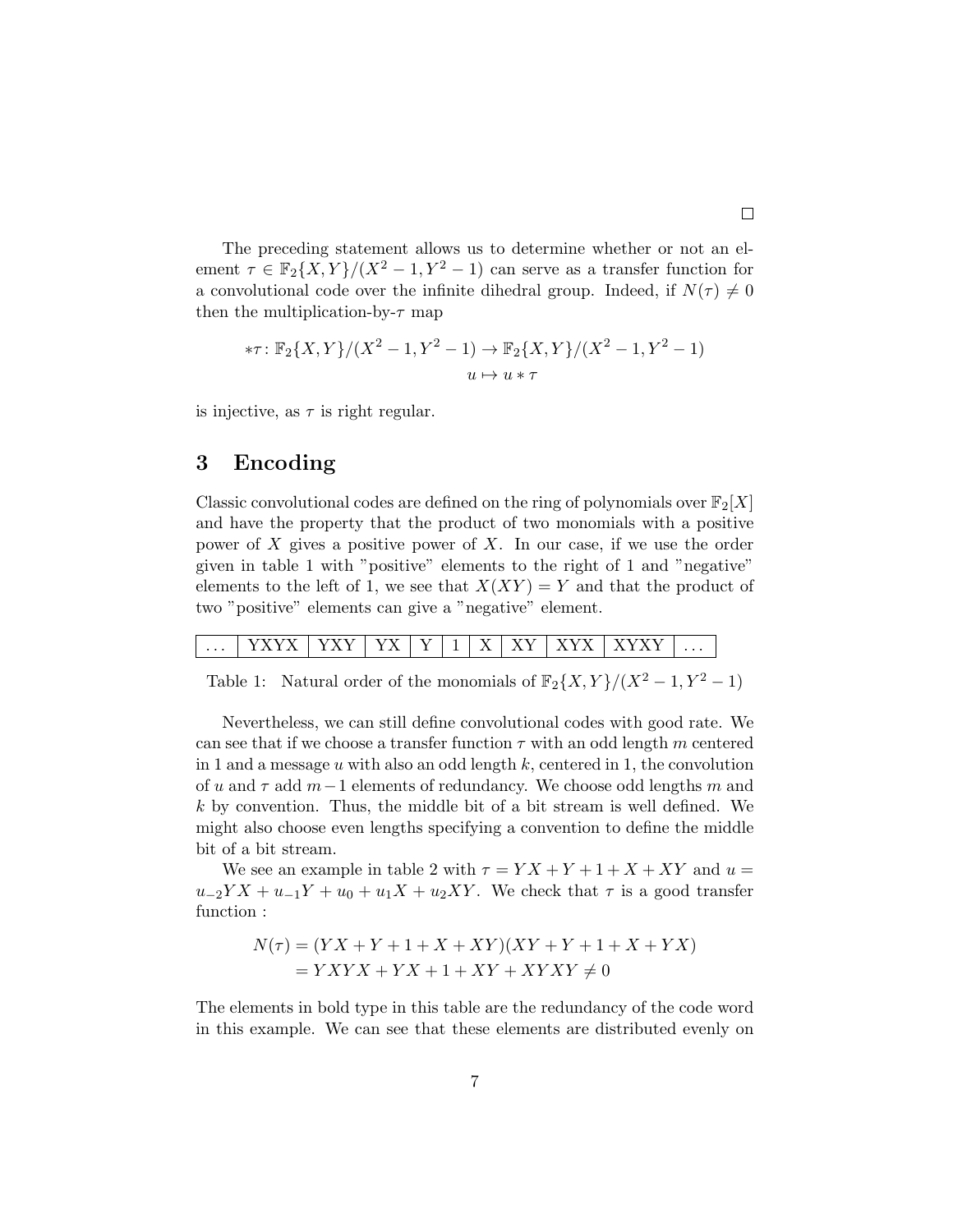The preceding statement allows us to determine whether or not an element  $\tau \in \mathbb{F}_2\{X,Y\}/(X^2-1,Y^2-1)$  can serve as a transfer function for a convolutional code over the infinite dihedral group. Indeed, if  $N(\tau) \neq 0$ then the multiplication-by- $\tau$  map

$$
*\tau: \mathbb{F}_2\{X, Y\}/(X^2 - 1, Y^2 - 1) \to \mathbb{F}_2\{X, Y\}/(X^2 - 1, Y^2 - 1)
$$
  

$$
u \mapsto u * \tau
$$

is injective, as  $\tau$  is right regular.

### 3 Encoding

Classic convolutional codes are defined on the ring of polynomials over  $\mathbb{F}_2[X]$ and have the property that the product of two monomials with a positive power of X gives a positive power of X. In our case, if we use the order given in table [1](#page-6-0) with "positive" elements to the right of 1 and "negative" elements to the left of 1, we see that  $X(XY) = Y$  and that the product of two "positive" elements can give a "negative" element.

| $\cdots$ |  | . . | - | ۰ | --<br>. . |  | ъ. | $\cdots$ |
|----------|--|-----|---|---|-----------|--|----|----------|
|          |  |     |   |   |           |  |    |          |

<span id="page-6-0"></span>Table 1: Natural order of the monomials of  $\mathbb{F}_2\{X,Y\}/(X^2-1,Y^2-1)$ 

Nevertheless, we can still define convolutional codes with good rate. We can see that if we choose a transfer function  $\tau$  with an odd length m centered in 1 and a message  $u$  with also an odd length  $k$ , centered in 1, the convolution of u and  $\tau$  add  $m-1$  elements of redundancy. We choose odd lengths m and k by convention. Thus, the middle bit of a bit stream is well defined. We might also choose even lengths specifying a convention to define the middle bit of a bit stream.

We see an example in table [2](#page-7-0) with  $\tau = Y X + Y + 1 + X + XY$  and  $u =$  $u_{-2}YX + u_{-1}Y + u_0 + u_1X + u_2XY$ . We check that  $\tau$  is a good transfer function :

$$
N(\tau) = (YX + Y + 1 + X + XY)(XY + Y + 1 + X + YX)
$$
  
=  $YXYX + YX + 1 + XY + XYXY \neq 0$ 

The elements in bold type in this table are the redundancy of the code word in this example. We can see that these elements are distributed evenly on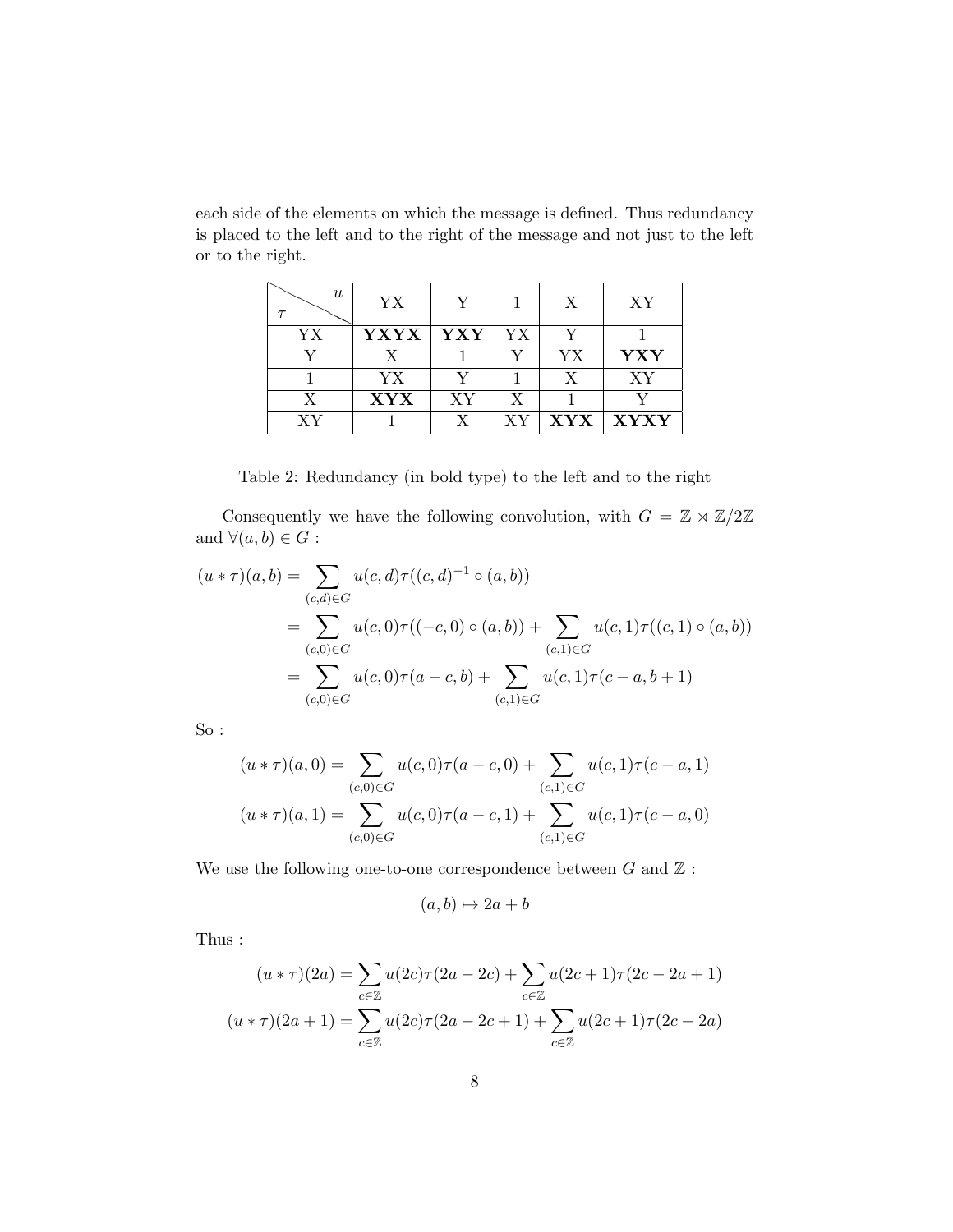each side of the elements on which the message is defined. Thus redundancy is placed to the left and to the right of the message and not just to the left or to the right.

| $\boldsymbol{u}$ | YX          | V   |              | X          | XY                      |
|------------------|-------------|-----|--------------|------------|-------------------------|
| YΧ               | <b>YXYX</b> | YXY | YΧ           | v          |                         |
|                  | X           |     |              | YX         | ${\bf Y}{\bf X}{\bf Y}$ |
|                  | YX          |     |              | X          | XY                      |
| X                | <b>XYX</b>  | XY  | $\mathbf{X}$ |            |                         |
| ХY               |             |     | ХY           | <b>XYX</b> | <b>XYXY</b>             |

<span id="page-7-0"></span>Table 2: Redundancy (in bold type) to the left and to the right

Consequently we have the following convolution, with  $G\,=\, \mathbb{Z}\rtimes \mathbb{Z}/2\mathbb{Z}$ and  $\forall (a, b) \in G:$ 

$$
(u * \tau)(a, b) = \sum_{(c,d) \in G} u(c,d) \tau((c,d)^{-1} \circ (a,b))
$$
  
= 
$$
\sum_{(c,0) \in G} u(c,0) \tau((-c,0) \circ (a,b)) + \sum_{(c,1) \in G} u(c,1) \tau((c,1) \circ (a,b))
$$
  
= 
$$
\sum_{(c,0) \in G} u(c,0) \tau(a-c,b) + \sum_{(c,1) \in G} u(c,1) \tau(c-a,b+1)
$$

So :

$$
(u * \tau)(a, 0) = \sum_{(c, 0) \in G} u(c, 0)\tau(a - c, 0) + \sum_{(c, 1) \in G} u(c, 1)\tau(c - a, 1)
$$

$$
(u * \tau)(a, 1) = \sum_{(c, 0) \in G} u(c, 0)\tau(a - c, 1) + \sum_{(c, 1) \in G} u(c, 1)\tau(c - a, 0)
$$

We use the following one-to-one correspondence between  $G$  and  $\mathbb Z$  :

$$
(a,b)\mapsto 2a+b
$$

Thus :

$$
(u * \tau)(2a) = \sum_{c \in \mathbb{Z}} u(2c)\tau(2a - 2c) + \sum_{c \in \mathbb{Z}} u(2c + 1)\tau(2c - 2a + 1)
$$

$$
(u * \tau)(2a + 1) = \sum_{c \in \mathbb{Z}} u(2c)\tau(2a - 2c + 1) + \sum_{c \in \mathbb{Z}} u(2c + 1)\tau(2c - 2a)
$$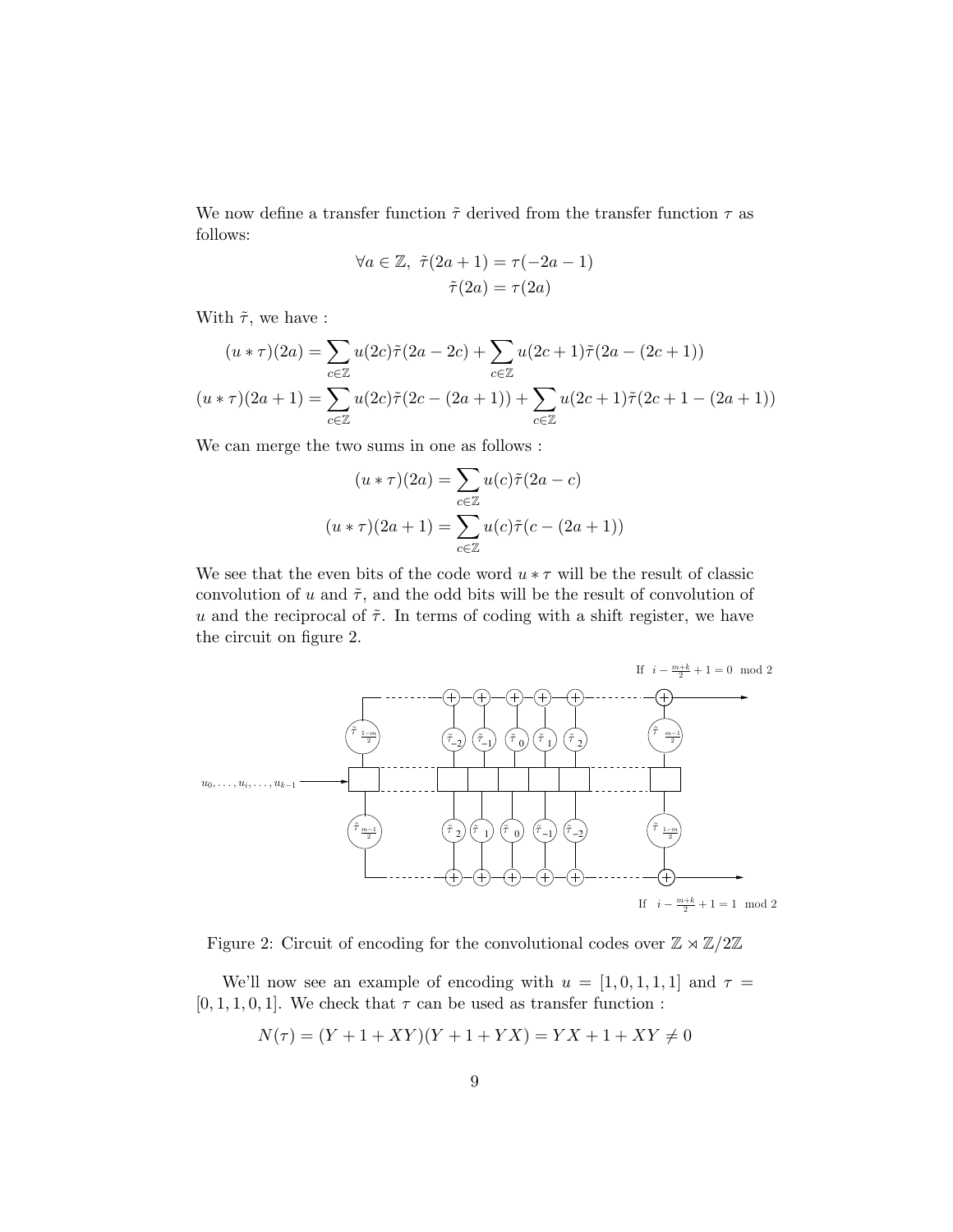We now define a transfer function  $\tilde{\tau}$  derived from the transfer function  $\tau$  as follows:

$$
\forall a \in \mathbb{Z}, \ \tilde{\tau}(2a+1) = \tau(-2a-1)
$$

$$
\tilde{\tau}(2a) = \tau(2a)
$$

With  $\tilde{\tau}$ , we have :

$$
(u * \tau)(2a) = \sum_{c \in \mathbb{Z}} u(2c)\tilde{\tau}(2a - 2c) + \sum_{c \in \mathbb{Z}} u(2c + 1)\tilde{\tau}(2a - (2c + 1))
$$

$$
(u * \tau)(2a + 1) = \sum_{c \in \mathbb{Z}} u(2c)\tilde{\tau}(2c - (2a + 1)) + \sum_{c \in \mathbb{Z}} u(2c + 1)\tilde{\tau}(2c + 1 - (2a + 1))
$$

We can merge the two sums in one as follows :

$$
(u * \tau)(2a) = \sum_{c \in \mathbb{Z}} u(c)\tilde{\tau}(2a - c)
$$

$$
(u * \tau)(2a + 1) = \sum_{c \in \mathbb{Z}} u(c)\tilde{\tau}(c - (2a + 1))
$$

We see that the even bits of the code word  $u * \tau$  will be the result of classic convolution of u and  $\tilde{\tau}$ , and the odd bits will be the result of convolution of u and the reciprocal of  $\tilde{\tau}$ . In terms of coding with a shift register, we have the circuit on figure [2.](#page-8-0)



<span id="page-8-0"></span>Figure 2: Circuit of encoding for the convolutional codes over  $\mathbb{Z} \rtimes \mathbb{Z}/2\mathbb{Z}$ 

We'll now see an example of encoding with  $u = [1, 0, 1, 1, 1]$  and  $\tau =$  $[0, 1, 1, 0, 1]$ . We check that  $\tau$  can be used as transfer function :

$$
N(\tau) = (Y + 1 + XY)(Y + 1 + YX) = YX + 1 + XY \neq 0
$$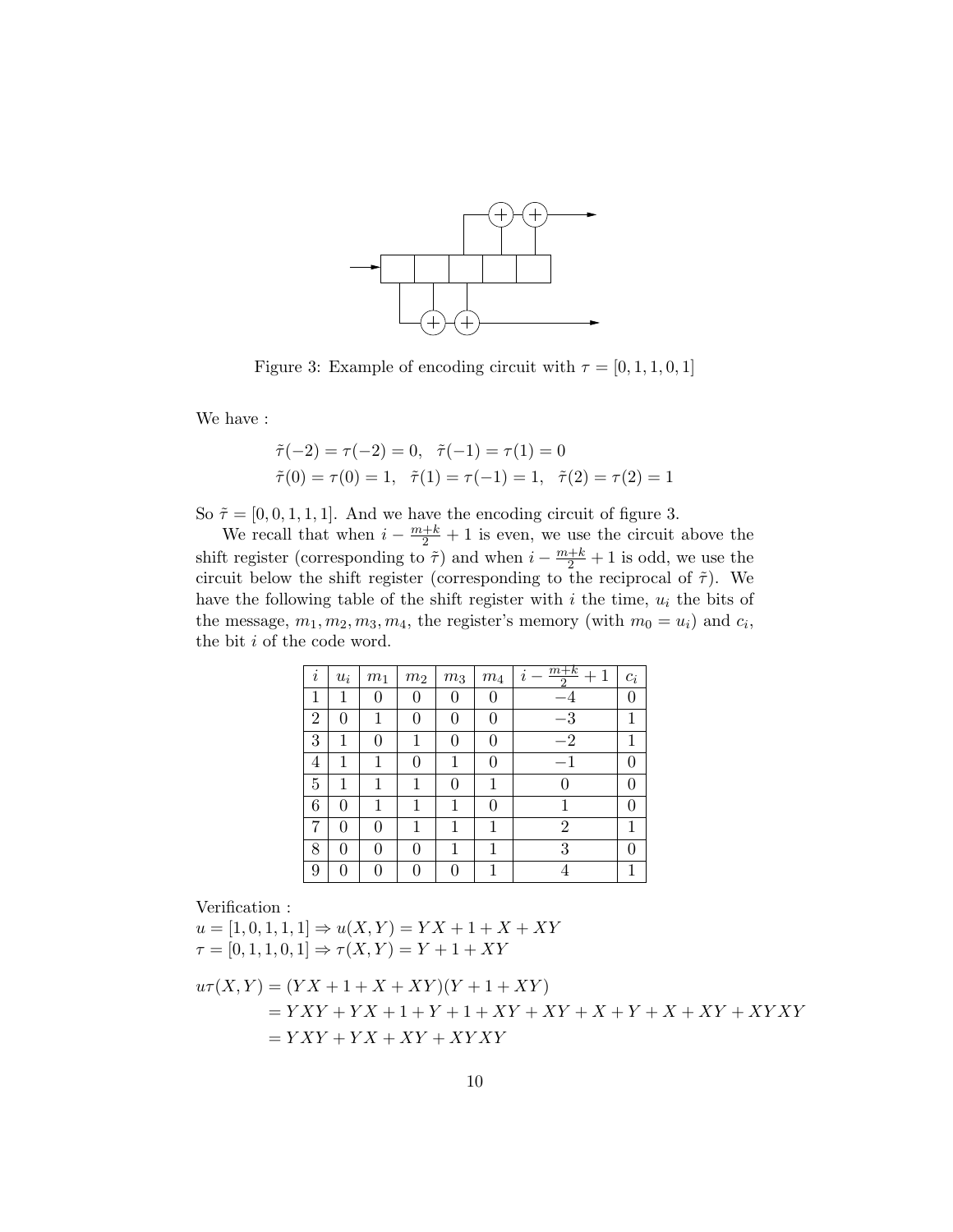

<span id="page-9-0"></span>Figure 3: Example of encoding circuit with  $\tau = [0, 1, 1, 0, 1]$ 

We have :

$$
\tilde{\tau}(-2) = \tau(-2) = 0, \quad \tilde{\tau}(-1) = \tau(1) = 0
$$
  

$$
\tilde{\tau}(0) = \tau(0) = 1, \quad \tilde{\tau}(1) = \tau(-1) = 1, \quad \tilde{\tau}(2) = \tau(2) = 1
$$

So  $\tilde{\tau} = [0, 0, 1, 1, 1]$ . And we have the encoding circuit of figure [3.](#page-9-0)

We recall that when  $i - \frac{m+k}{2} + 1$  is even, we use the circuit above the shift register (corresponding to  $\tilde{\tau}$ ) and when  $i - \frac{m+k}{2} + 1$  is odd, we use the circuit below the shift register (corresponding to the reciprocal of  $\tilde{\tau}$ ). We have the following table of the shift register with i the time,  $u_i$  the bits of the message,  $m_1, m_2, m_3, m_4$ , the register's memory (with  $m_0 = u_i$ ) and  $c_i$ , the bit i of the code word.

| i              | $u_i$    | $\,m_1$ | $\,m_2$ | $\,m_3$ | $\sqrt{m_4}$ | $m+k$<br>$\mathbf{1}$<br>$+$<br>$\imath$<br>റ | $c_i$ |
|----------------|----------|---------|---------|---------|--------------|-----------------------------------------------|-------|
| 1              | 1        | 0       |         | 0       | 0            |                                               | 0     |
| $\overline{2}$ | 0        | 1       | 0       | 0       | 0            | $^{-3}$                                       |       |
| 3              | 1        | 0       | 1       | 0       | 0            | $^{-2}$                                       | 1     |
| 4              | 1        | 1       | 0       | 1       | 0            | $-1$                                          |       |
| 5              | 1        | 1       | 1       | 0       | 1            |                                               | 0     |
| 6              | 0        | 1       | 1       | 1       | 0            |                                               | 0     |
| 7              | 0        | 0       | 1       | 1       | 1            | 2                                             | 1     |
| 8              | $\theta$ | 0       | 0       | 1       | 1            | 3                                             |       |
| 9              |          | 0       |         | 0       | 1            |                                               | 1     |

Verification :

 $u = [1, 0, 1, 1, 1] \Rightarrow u(X, Y) = YX + 1 + X + XY$  $\tau = [0, 1, 1, 0, 1] \Rightarrow \tau(X, Y) = Y + 1 + XY$  $u\tau(X, Y) = (YX + 1 + X + XY)(Y + 1 + XY)$  $= YXY + YX + 1 + Y + 1 + XY + XY + X + Y + X + XY + XY + XY + XY$  $= YXY + YX + XY + XYXY$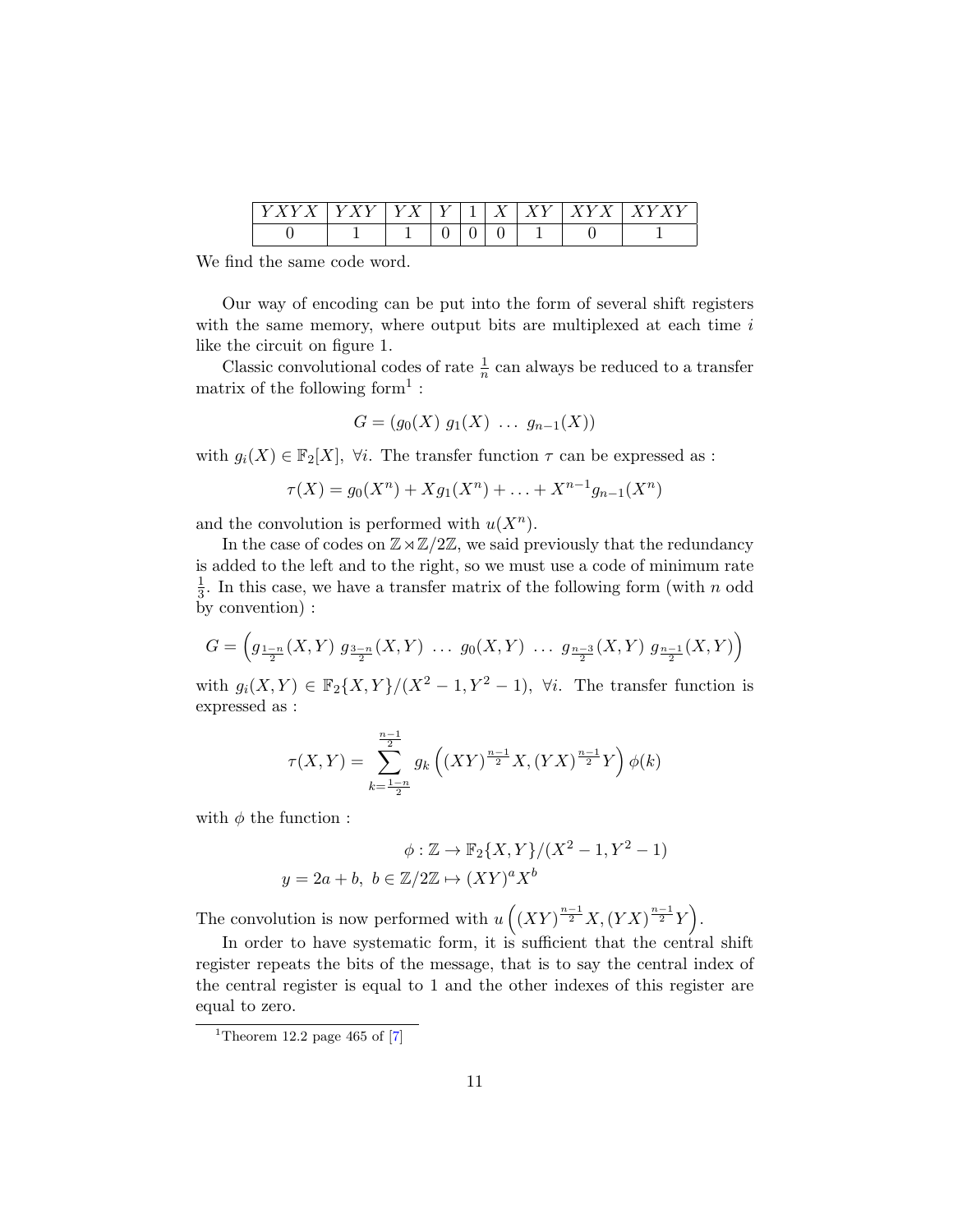|  |  | — | -- | ۰. |  |
|--|--|---|----|----|--|
|  |  |   |    |    |  |

We find the same code word.

Our way of encoding can be put into the form of several shift registers with the same memory, where output bits are multiplexed at each time  $i$ like the circuit on figure [1.](#page-1-0)

Classic convolutional codes of rate  $\frac{1}{n}$  can always be reduced to a transfer matrix of the following form<sup>[1](#page-10-0)</sup>:

$$
G = (g_0(X) g_1(X) \ldots g_{n-1}(X))
$$

with  $g_i(X) \in \mathbb{F}_2[X]$ ,  $\forall i$ . The transfer function  $\tau$  can be expressed as :

$$
\tau(X) = g_0(X^n) + Xg_1(X^n) + \ldots + X^{n-1}g_{n-1}(X^n)
$$

and the convolution is performed with  $u(X^n)$ .

In the case of codes on  $\mathbb{Z}\rtimes\mathbb{Z}/2\mathbb{Z}$ , we said previously that the redundancy is added to the left and to the right, so we must use a code of minimum rate 1  $\frac{1}{3}$ . In this case, we have a transfer matrix of the following form (with n odd by convention) :

$$
G = \left( g_{\frac{1-n}{2}}(X,Y) g_{\frac{3-n}{2}}(X,Y) \dots g_0(X,Y) \dots g_{\frac{n-3}{2}}(X,Y) g_{\frac{n-1}{2}}(X,Y) \right)
$$

with  $g_i(X, Y) \in \mathbb{F}_2\{X, Y\}/(X^2-1, Y^2-1)$ ,  $\forall i$ . The transfer function is expressed as :

$$
\tau(X,Y) = \sum_{k=\frac{1-n}{2}}^{\frac{n-1}{2}} g_k\left( (XY)^{\frac{n-1}{2}} X, (YX)^{\frac{n-1}{2}} Y \right) \phi(k)
$$

with  $\phi$  the function :

$$
\phi: \mathbb{Z} \to \mathbb{F}_2\{X, Y\}/(X^2 - 1, Y^2 - 1)
$$

$$
y = 2a + b, \ b \in \mathbb{Z}/2\mathbb{Z} \mapsto (XY)^a X^b
$$

The convolution is now performed with  $u\left(\left(XY\right)^{\frac{n-1}{2}}X,\left(YX\right)^{\frac{n-1}{2}}Y\right)$ .

In order to have systematic form, it is sufficient that the central shift register repeats the bits of the message, that is to say the central index of the central register is equal to 1 and the other indexes of this register are equal to zero.

<span id="page-10-0"></span><sup>&</sup>lt;sup>1</sup>Theorem 12.2 page 465 of  $[7]$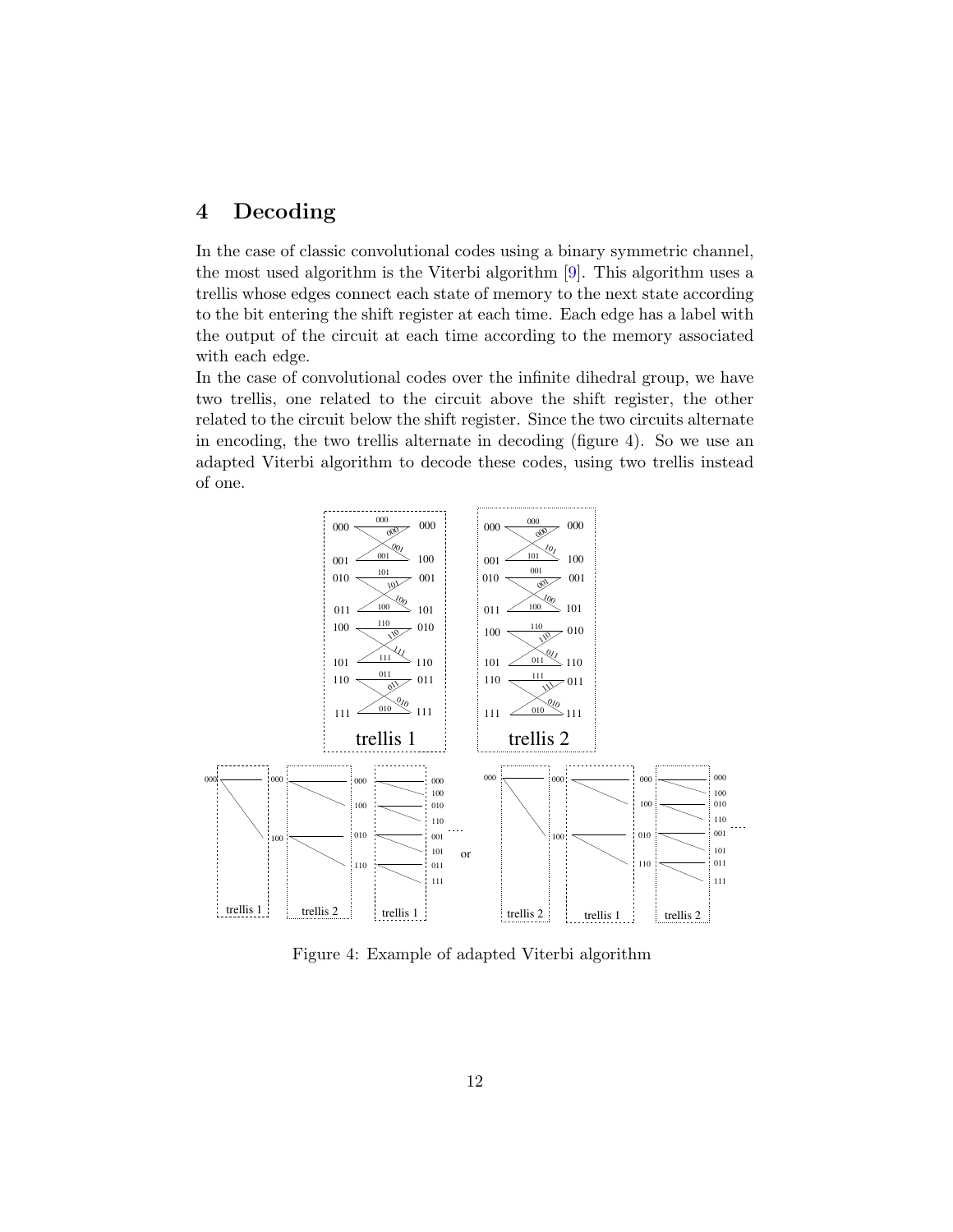# 4 Decoding

In the case of classic convolutional codes using a binary symmetric channel, the most used algorithm is the Viterbi algorithm [\[9\]](#page-14-4). This algorithm uses a trellis whose edges connect each state of memory to the next state according to the bit entering the shift register at each time. Each edge has a label with the output of the circuit at each time according to the memory associated with each edge.

In the case of convolutional codes over the infinite dihedral group, we have two trellis, one related to the circuit above the shift register, the other related to the circuit below the shift register. Since the two circuits alternate in encoding, the two trellis alternate in decoding (figure [4\)](#page-11-0). So we use an adapted Viterbi algorithm to decode these codes, using two trellis instead of one.



<span id="page-11-0"></span>Figure 4: Example of adapted Viterbi algorithm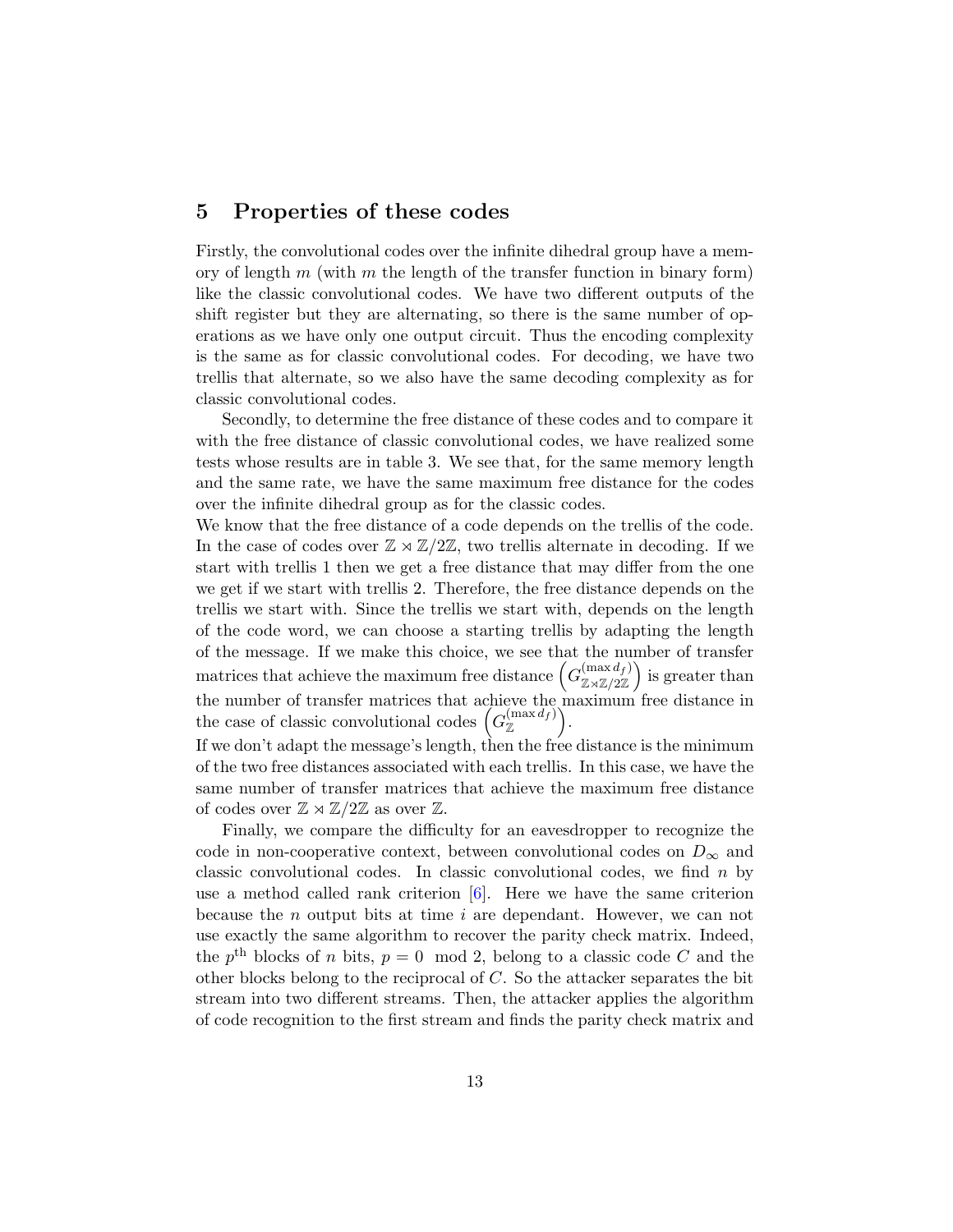#### 5 Properties of these codes

Firstly, the convolutional codes over the infinite dihedral group have a memory of length  $m$  (with  $m$  the length of the transfer function in binary form) like the classic convolutional codes. We have two different outputs of the shift register but they are alternating, so there is the same number of operations as we have only one output circuit. Thus the encoding complexity is the same as for classic convolutional codes. For decoding, we have two trellis that alternate, so we also have the same decoding complexity as for classic convolutional codes.

Secondly, to determine the free distance of these codes and to compare it with the free distance of classic convolutional codes, we have realized some tests whose results are in table [3.](#page-13-0) We see that, for the same memory length and the same rate, we have the same maximum free distance for the codes over the infinite dihedral group as for the classic codes.

We know that the free distance of a code depends on the trellis of the code. In the case of codes over  $\mathbb{Z} \rtimes \mathbb{Z}/2\mathbb{Z}$ , two trellis alternate in decoding. If we start with trellis 1 then we get a free distance that may differ from the one we get if we start with trellis 2. Therefore, the free distance depends on the trellis we start with. Since the trellis we start with, depends on the length of the code word, we can choose a starting trellis by adapting the length of the message. If we make this choice, we see that the number of transfer matrices that achieve the maximum free distance  $\left(G_{\pi\sqrt{\pi/2}}^{(\max d_f)}\right)$  $\begin{pmatrix} (\max d_f) \\ \mathbb{Z} \rtimes \mathbb{Z}/2\mathbb{Z} \end{pmatrix}$  is greater than the number of transfer matrices that achieve the maximum free distance in the case of classic convolutional codes  $(G_{\mathbb{Z}}^{(\max d_f)})$ .

If we don't adapt the message's length, then the free distance is the minimum of the two free distances associated with each trellis. In this case, we have the same number of transfer matrices that achieve the maximum free distance of codes over  $\mathbb{Z} \rtimes \mathbb{Z}/2\mathbb{Z}$  as over  $\mathbb{Z}$ .

Finally, we compare the difficulty for an eavesdropper to recognize the code in non-cooperative context, between convolutional codes on  $D_{\infty}$  and classic convolutional codes. In classic convolutional codes, we find  $n$  by use a method called rank criterion  $[6]$ . Here we have the same criterion because the n output bits at time i are dependant. However, we can not use exactly the same algorithm to recover the parity check matrix. Indeed, the  $p^{\text{th}}$  blocks of n bits,  $p = 0 \mod 2$ , belong to a classic code C and the other blocks belong to the reciprocal of C. So the attacker separates the bit stream into two different streams. Then, the attacker applies the algorithm of code recognition to the first stream and finds the parity check matrix and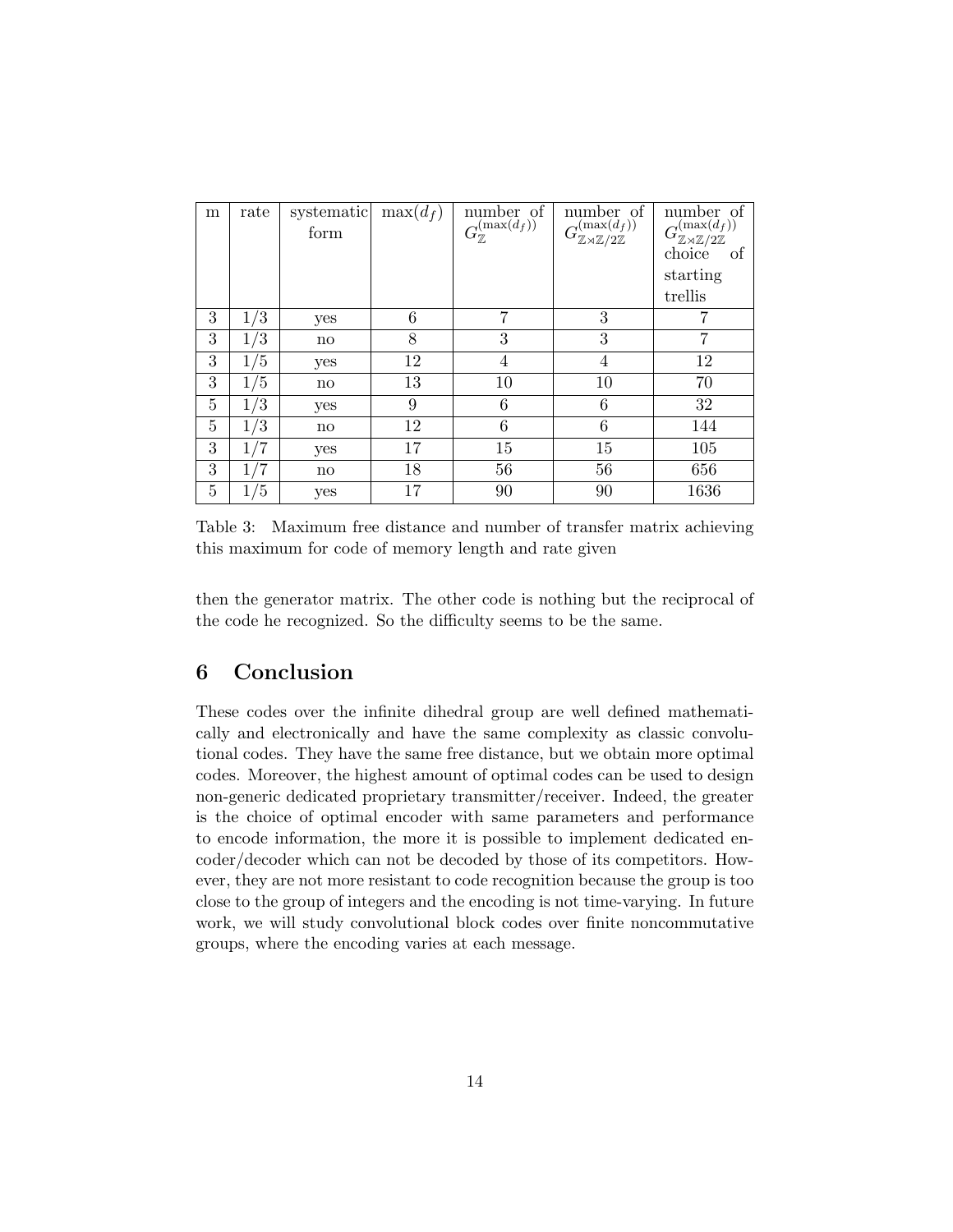| m | rate | systematic<br>form | $\max(d_f)$ | number of<br>$G_{\mathbb{Z}}^{(\max(d_f))}$ | number of<br>$G^{(\max(d_f))}_{\mathbb{Z}\rtimes\mathbb{Z}/2\mathbb{Z}}$ | number of<br>$G^{(\max(d_f))}_{\mathbb{Z}\rtimes\mathbb{Z}/2\mathbb{Z}}$<br>choice<br>οf<br>starting<br>trellis |
|---|------|--------------------|-------------|---------------------------------------------|--------------------------------------------------------------------------|-----------------------------------------------------------------------------------------------------------------|
| 3 | 1/3  | yes                | 6           | 7                                           | 3                                                                        | 7                                                                                                               |
| 3 | 1/3  | $\mathbf{no}$      | 8           | 3                                           | 3                                                                        | 7                                                                                                               |
| 3 | 1/5  | yes                | 12          | 4                                           | 4                                                                        | 12                                                                                                              |
| 3 | 1/5  | no                 | 13          | 10                                          | 10                                                                       | 70                                                                                                              |
| 5 | 1/3  | yes                | 9           | 6                                           | 6                                                                        | 32                                                                                                              |
| 5 | 1/3  | $\mathbf{no}$      | 12          | 6                                           | 6                                                                        | 144                                                                                                             |
| 3 | '7   | yes                | 17          | 15                                          | 15                                                                       | 105                                                                                                             |
| 3 | 1/7  | $\mathbf{no}$      | 18          | 56                                          | 56                                                                       | 656                                                                                                             |
| 5 | 1/5  | yes                | 17          | 90                                          | 90                                                                       | 1636                                                                                                            |

<span id="page-13-0"></span>Table 3: Maximum free distance and number of transfer matrix achieving this maximum for code of memory length and rate given

then the generator matrix. The other code is nothing but the reciprocal of the code he recognized. So the difficulty seems to be the same.

#### 6 Conclusion

These codes over the infinite dihedral group are well defined mathematically and electronically and have the same complexity as classic convolutional codes. They have the same free distance, but we obtain more optimal codes. Moreover, the highest amount of optimal codes can be used to design non-generic dedicated proprietary transmitter/receiver. Indeed, the greater is the choice of optimal encoder with same parameters and performance to encode information, the more it is possible to implement dedicated encoder/decoder which can not be decoded by those of its competitors. However, they are not more resistant to code recognition because the group is too close to the group of integers and the encoding is not time-varying. In future work, we will study convolutional block codes over finite noncommutative groups, where the encoding varies at each message.